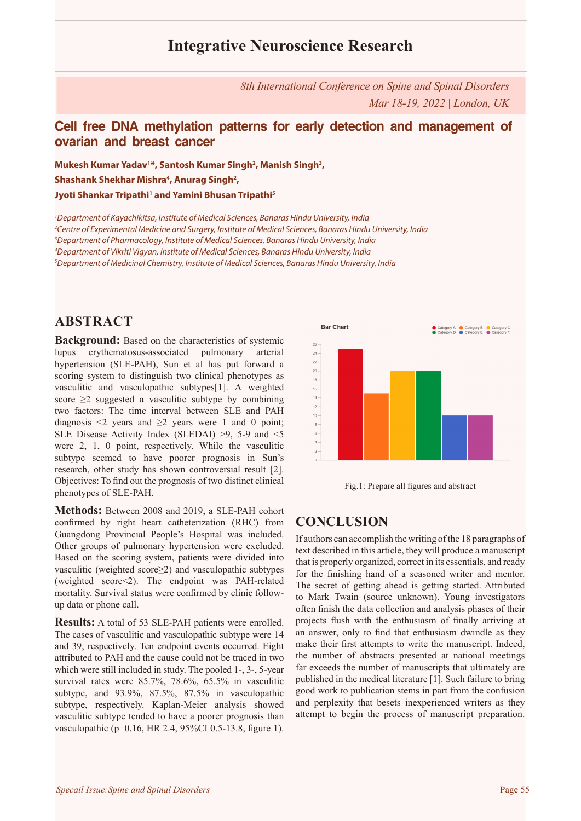# **Integrative Neuroscience Research**

*8th International Conference on Spine and Spinal Disorders Mar 18-19, 2022 | London, UK*

### **Cell free DNA methylation patterns for early detection and management of ovarian and breast cancer**

**Mukesh Kumar Yadav1 \*, Santosh Kumar Singh2 , Manish Singh3 ,**  Shashank Shekhar Mishra<sup>4</sup>, Anurag Singh<sup>2</sup>, **Jyoti Shankar Tripathi1 and Yamini Bhusan Tripathi5**

 *Department of Kayachikitsa, Institute of Medical Sciences, Banaras Hindu University, India Centre of Experimental Medicine and Surgery, Institute of Medical Sciences, Banaras Hindu University, India Department of Pharmacology, Institute of Medical Sciences, Banaras Hindu University, India Department of Vikriti Vigyan, Institute of Medical Sciences, Banaras Hindu University, India Department of Medicinal Chemistry, Institute of Medical Sciences, Banaras Hindu University, India*

### **ABSTRACT**

**Background:** Based on the characteristics of systemic lupus erythematosus-associated pulmonary arterial hypertension (SLE-PAH), Sun et al has put forward a scoring system to distinguish two clinical phenotypes as vasculitic and vasculopathic subtypes[1]. A weighted score  $\geq$ 2 suggested a vasculitic subtype by combining two factors: The time interval between SLE and PAH diagnosis <2 years and  $\geq$ 2 years were 1 and 0 point; SLE Disease Activity Index (SLEDAI) >9, 5-9 and <5 were 2, 1, 0 point, respectively. While the vasculitic subtype seemed to have poorer prognosis in Sun's research, other study has shown controversial result [2]. Objectives: To find out the prognosis of two distinct clinical phenotypes of SLE-PAH.

**Methods:** Between 2008 and 2019, a SLE-PAH cohort confirmed by right heart catheterization (RHC) from Guangdong Provincial People's Hospital was included. Other groups of pulmonary hypertension were excluded. Based on the scoring system, patients were divided into vasculitic (weighted score≥2) and vasculopathic subtypes (weighted score<2). The endpoint was PAH-related mortality. Survival status were confirmed by clinic followup data or phone call.

**Results:** A total of 53 SLE-PAH patients were enrolled. The cases of vasculitic and vasculopathic subtype were 14 and 39, respectively. Ten endpoint events occurred. Eight attributed to PAH and the cause could not be traced in two which were still included in study. The pooled 1-, 3-, 5-year survival rates were 85.7%, 78.6%, 65.5% in vasculitic subtype, and 93.9%, 87.5%, 87.5% in vasculopathic subtype, respectively. Kaplan-Meier analysis showed vasculitic subtype tended to have a poorer prognosis than vasculopathic (p=0.16, HR 2.4, 95%CI 0.5-13.8, figure 1).





## **CONCLUSION**

If authors can accomplish the writing of the 18 paragraphs of text described in this article, they will produce a manuscript that is properly organized, correct in its essentials, and ready for the finishing hand of a seasoned writer and mentor. The secret of getting ahead is getting started. Attributed to Mark Twain (source unknown). Young investigators often finish the data collection and analysis phases of their projects flush with the enthusiasm of finally arriving at an answer, only to find that enthusiasm dwindle as they make their first attempts to write the manuscript. Indeed, the number of abstracts presented at national meetings far exceeds the number of manuscripts that ultimately are published in the medical literature [1]. Such failure to bring good work to publication stems in part from the confusion and perplexity that besets inexperienced writers as they attempt to begin the process of manuscript preparation.